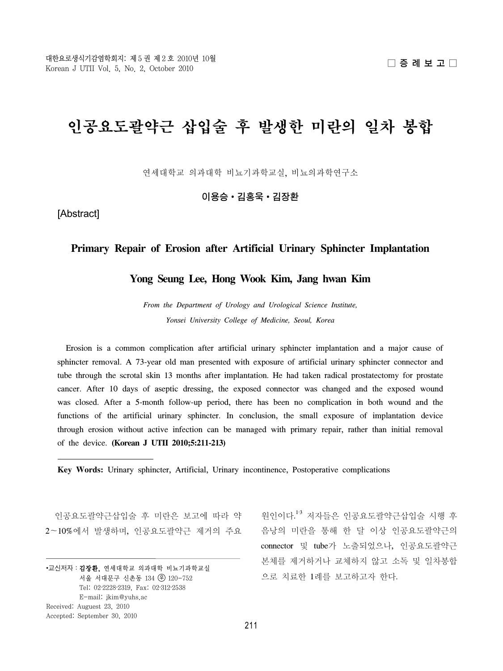# 인공요도괄약근 삽입술 후 발생한 미란의 일차 봉합

연세대학교 의과대학 비뇨기과학교실, 비뇨의과학연구소

## 이용승∙김홍욱∙김장환

[Abstract]

#### **Primary Repair of Erosion after Artificial Urinary Sphincter Implantation**

### **Yong Seung Lee, Hong Wook Kim, Jang hwan Kim**

*From the Department of Urology and Urological Science Institute, Yonsei University College of Medicine, Seoul, Korea*

 Erosion is a common complication after artificial urinary sphincter implantation and a major cause of sphincter removal. A 73-year old man presented with exposure of artificial urinary sphincter connector and tube through the scrotal skin 13 months after implantation. He had taken radical prostatectomy for prostate cancer. After 10 days of aseptic dressing, the exposed connector was changed and the exposed wound was closed. After a 5-month follow-up period, there has been no complication in both wound and the functions of the artificial urinary sphincter. In conclusion, the small exposure of implantation device through erosion without active infection can be managed with primary repair, rather than initial removal of the device. **(Korean J UTII 2010;5:211-213)**

**Key Words:** Urinary sphincter, Artificial, Urinary incontinence, Postoperative complications

2∼10%에서 발생하며, 인공요도괄약근 제거의 주요

•교신저자 : 김장환, 연세대학교 의과대학 비뇨기과학교실 서울 서대문구 신촌동 134 우 120-752 Tel: 02‐2228‐2319, Fax: 02‐312‐2538 E-mail: jkim@yuhs.ac Received: Auguest 23, 2010 Accepted: September 30, 2010

인공요도괄약근삽입술 후 미란은 보고에 따라 약 · 원인이다.<sup>13</sup> 저자들은 인공요도괄약근삽입술 시행 후 음낭의 미란을 통해 한 달 이상 인공요도괄약근의 connector 및 tube가 노출되었으나, 인공요도괄약근 본체를 제거하거나 교체하지 않고 소독 및 일차봉합 으로 치료한 1례를 보고하고자 한다.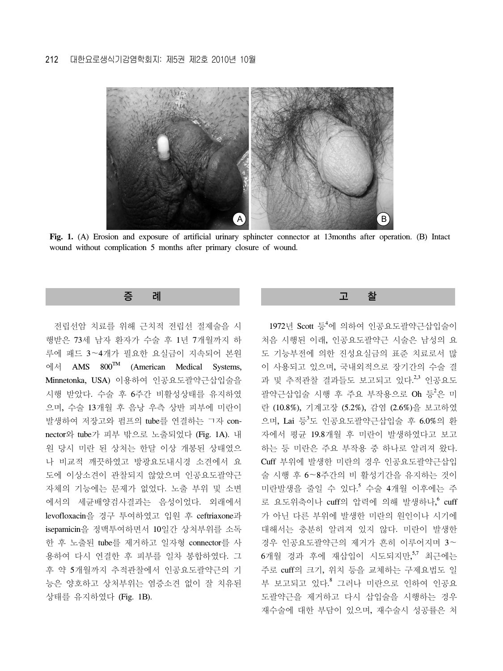

**Fig. 1.** (A) Erosion and exposure of artificial urinary sphincter connector at 13months after operation. (B) Intact wound without complication 5 months after primary closure of wound.

## 증 례

 전립선암 치료를 위해 근치적 전립선 절제술을 시 행받은 73세 남자 환자가 수술 후 1년 7개월까지 하 루에 패드 3∼4개가 필요한 요실금이 지속되어 본원 에서 AMS 800TM (American Medical Systems, Minnetonka, USA) 이용하여 인공요도괄약근삽입술을 시행 받았다. 수술 후 6주간 비활성상태를 유지하였 으며, 수술 13개월 후 음낭 우측 상반 피부에 미란이 발생하여 저장고와 펌프의 tube를 연결하는 ㄱ자 connector와 tube가 피부 밖으로 노출되었다 (Fig. 1A). 내 원 당시 미란 된 상처는 한달 이상 개봉된 상태였으 나 비교적 깨끗하였고 방광요도내시경 소견에서 요 도에 이상소견이 관찰되지 않았으며 인공요도괄약근 자체의 기능에는 문제가 없었다. 노출 부위 및 소변 에서의 세균배양검사결과는 음성이었다. 외래에서 levofloxacin을 경구 투여하였고 입원 후 ceftriaxone과 isepamicin을 정맥투여하면서 10일간 상처부위를 소독 한 후 노출된 tube를 제거하고 일자형 connector를 사 용하여 다시 연결한 후 피부를 일차 봉합하였다. 그 후 약 5개월까지 추적관찰에서 인공요도괄약근의 기 능은 양호하고 상처부위는 염증소견 없이 잘 치유된 상태를 유지하였다 (Fig. 1B).

#### 고 찰

1972년 Scott 등<sup>4</sup>에 의하여 인공요도괄약근삽입술이 처음 시행된 이래, 인공요도괄약근 시술은 남성의 요 도 기능부전에 의한 진성요실금의 표준 치료로서 많 이 사용되고 있으며, 국내외적으로 장기간의 수술 결 과 및 추적관찰 결과들도 보고되고 있다.<sup>2,3</sup> 인공요도 괄약근삽입술 시행 후 주요 부작용으로 Oh 등<sup>2</sup>은 미 란 (10.8%), 기계고장 (5.2%), 감염 (2.6%)을 보고하였 으며, Lai 등<sup>3</sup>도 인공요도괄약근삽입술 후 6.0%의 환 자에서 평균 19.8개월 후 미란이 발생하였다고 보고 하는 등 미란은 주요 부작용 중 하나로 알려져 왔다. Cuff 부위에 발생한 미란의 경우 인공요도괄약근삽입 술 시행 후 6∼8주간의 비 활성기간을 유지하는 것이 미란발생을 줄일 수 있다. <sup>5</sup> 수술 4개월 이후에는 주 로 요도위축이나 cuff의 압력에 의해 발생하나, cuff 가 아닌 다른 부위에 발생한 미란의 원인이나 시기에 대해서는 충분히 알려져 있지 않다. 미란이 발생한 경우 인공요도괄약근의 제거가 흔히 이루어지며 3∼ 6개월 경과 후에 재삽입이 시도되지만,<sup>5,7</sup> 최근에는 주로 cuff의 크기, 위치 등을 교체하는 구제요법도 일 부 보고되고 있다.<sup>8</sup> 그러나 미란으로 인하여 인공요 도괄약근을 제거하고 다시 삽입술을 시행하는 경우 재수술에 대한 부담이 있으며, 재수술시 성공률은 처